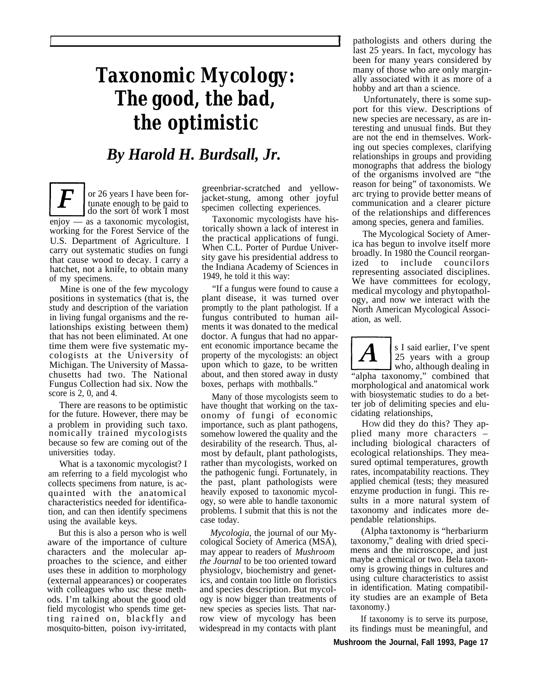## *Taxonomic Mycology: The good, the bad, the optimistic*

## *By Harold H. Burdsall, Jr.*

or 26 years I have been fortunate enough to be paid to do the sort of work I most enjoy — as a taxonomic mycologist, working for the Forest Service of the U.S. Department of Agriculture. I carry out systematic studies on fungi that cause wood to decay. I carry a hatchet, not a knife, to obtain many of my specimens.

*1*

Mine is one of the few mycology positions in systematics (that is, the study and description of the variation in living fungal organisms and the relationships existing between them) that has not been eliminated. At one time them were five systematic mycologists at the University of Michigan. The University of Massachusetts had two. The National Fungus Collection had six. Now the score is 2, 0, and 4.

There are reasons to be optimistic for the future. However, there may be a problem in providing such taxo. nomically trained mycologists because so few are coming out of the universities today.

What is a taxonomic mycologist? I am referring to a field mycologist who collects specimens from nature, is acquainted with the anatomical characteristics needed for identification, and can then identify specimens using the available keys.

But this is also a person who is well aware of the importance of culture characters and the molecular approaches to the science, and either uses these in addition to morphology (external appearances) or cooperates with colleagues who usc these methods. I'm talking about the good old field mycologist who spends time getting rained on, blackfly and mosquito-bitten, poison ivy-irritated,

greenbriar-scratched and yellowjacket-stung, among other joyful specimen collecting experiences.

Taxonomic mycologists have historically shown a lack of interest in the practical applications of fungi. When C.L. Porter of Purdue University gave his presidential address to the Indiana Academy of Sciences in 1949, he told it this way:

"If a fungus were found to cause a plant disease, it was turned over promptly to the plant pathologist. If a fungus contributed to human ailments it was donated to the medical doctor. A fungus that had no apparent economic importance became the property of the mycologists: an object upon which to gaze, to be written about, and then stored away in dusty boxes, perhaps with mothballs."

Many of those mycologists seem to have thought that working on the taxonomy of fungi of economic importance, such as plant pathogens, somehow lowered the quality and the desirability of the research. Thus, almost by default, plant pathologists, rather than mycologists, worked on the pathogenic fungi. Fortunately, in the past, plant pathologists were heavily exposed to taxonomic mycology, so were able to handle taxonomic problems. I submit that this is not the case today.

*Mycologia,* the journal of our Mycological Society of America (MSA), may appear to readers of *Mushroom the Journal* to be too oriented toward physiologv, biochemistry and genetics, and contain too little on floristics and species description. But mycology is now bigger than treatments of new species as species lists. That narrow view of mycology has been widespread in my contacts with plant

pathologists and others during the last 25 years. In fact, mycology has been for many years considered by many of those who are only marginally associated with it as more of a hobby and art than a science.

Unfortunately, there is some support for this view. Descriptions of new species are necessary, as are interesting and unusual finds. But they are not the end in themselves. Working out species complexes, clarifying relationships in groups and providing monographs that address the biology of the organisms involved are "the reason for being" of taxonomists. We arc trying to provide better means of communication and a clearer picture of the relationships and differences among species, genera and families.

The Mycological Society of America has begun to involve itself more broadly. In 1980 the Council reorganized to include councilors representing associated disciplines. We have committees for ecology, medical mycology and phytopathology, and now we interact with the North American Mycological Association, as well.

25 years with a group who, although dealing in "alpha taxonomy," combined that morphological and anatomical work with biosystematic studies to do a better job of delimiting species and elucidating relationships,

s I said earlier, I've spent

HOW did they do this? They applied many more characters – including biological characters of ecological relationships. They measured optimal temperatures, growth rates, incompatability reactions. They applied chemical (tests; they measured enzyme production in fungi. This results in a more natural system of taxonomy and indicates more dependable relationships.

(Alpha taxtonomy is "herbariurm taxonomy," dealing with dried specimens and the microscope, and just maybe a chemical or two. Bela taxonomy is growing things in cultures and using culture characteristics to assist in identification. Mating compatibility studies are an example of Beta taxonomy.)

If taxonomy is to serve its purpose, its findings must be meaningful, and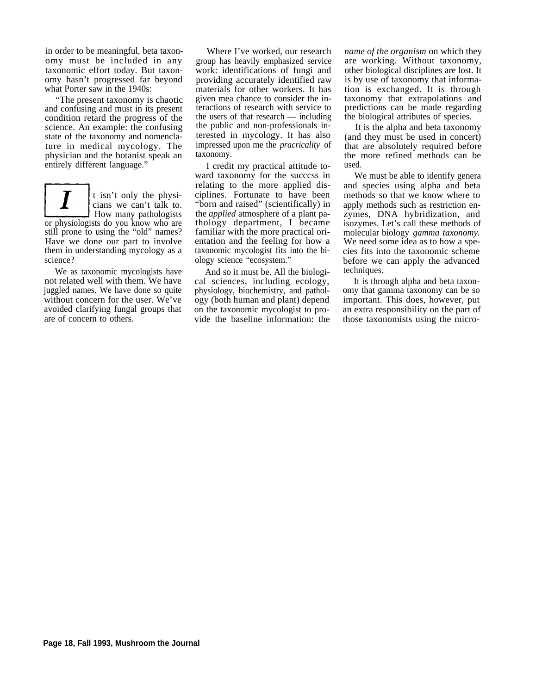in order to be meaningful, beta taxonomy must be included in any taxonomic effort today. But taxonomy hasn't progressed far beyond what Porter saw in the 1940s:

"The present taxonomy is chaotic and confusing and must in its present condition retard the progress of the science. An example: the confusing state of the taxonomy and nomenclature in medical mycology. The physician and the botanist speak an entirely different language."

t isn't only the physicians we can't talk to. How many pathologists or physiologists do you know who are still prone to using the "old" names? Have we done our part to involve them in understanding mycology as a science?

We as taxonomic mycologists have not related well with them. We have juggled names. We have done so quite without concern for the user. We've avoided clarifying fungal groups that are of concern to others.

Where I've worked, our research group has heavily emphasized service work: identifications of fungi and providing accurately identified raw materials for other workers. It has given mea chance to consider the interactions of research with service to the users of that research — including the public and non-professionals interested in mycology. It has also impressed upon me the *pracricality* of taxonomy.

I credit my practical attitude toward taxonomy for the succcss in relating to the more applied disciplines. Fortunate to have been "born and raised" (scientifically) in the *applied* atmosphere of a plant pathology department, I became familiar with the more practical orientation and the feeling for how a taxonomic mycologist fits into the biology science "ecosystem."

And so it must be. All the biological sciences, including ecology, physiology, biochemistry, and pathology (both human and plant) depend on the taxonomic mycologist to provide the baseline information: the *name of the organism* on which they are working. Without taxonomy, other biological disciplines are lost. It is by use of taxonomy that information is exchanged. It is through taxonomy that extrapolations and predictions can be made regarding the biological attributes of species.

It is the alpha and beta taxonomy (and they must be used in concert) that are absolutely required before the more refined methods can be used.

We must be able to identify genera and species using alpha and beta methods so that we know where to apply methods such as restriction enzymes, DNA hybridization, and isozymes. Let's call these methods of molecular biology *gamma taxonomy.* We need some idea as to how a species fits into the taxonomic scheme before we can apply the advanced techniques.

It is through alpha and beta taxonomy that gamma taxonomy can be so important. This does, however, put an extra responsibility on the part of those taxonomists using the micro-